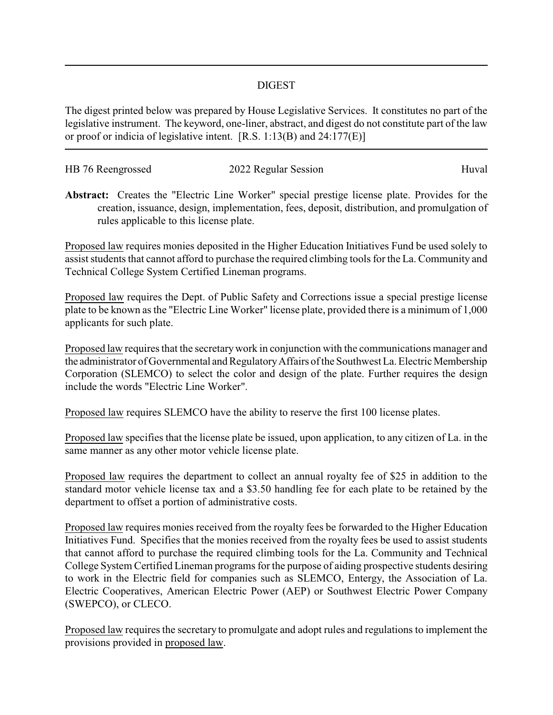## DIGEST

The digest printed below was prepared by House Legislative Services. It constitutes no part of the legislative instrument. The keyword, one-liner, abstract, and digest do not constitute part of the law or proof or indicia of legislative intent. [R.S. 1:13(B) and 24:177(E)]

| HB 76 Reengrossed | 2022 Regular Session | Huval |
|-------------------|----------------------|-------|
|                   |                      |       |

**Abstract:** Creates the "Electric Line Worker" special prestige license plate. Provides for the creation, issuance, design, implementation, fees, deposit, distribution, and promulgation of rules applicable to this license plate.

Proposed law requires monies deposited in the Higher Education Initiatives Fund be used solely to assist students that cannot afford to purchase the required climbing tools for the La. Community and Technical College System Certified Lineman programs.

Proposed law requires the Dept. of Public Safety and Corrections issue a special prestige license plate to be known as the "Electric Line Worker" license plate, provided there is a minimum of 1,000 applicants for such plate.

Proposed law requires that the secretarywork in conjunction with the communications manager and the administrator of Governmental and RegulatoryAffairs of the Southwest La. Electric Membership Corporation (SLEMCO) to select the color and design of the plate. Further requires the design include the words "Electric Line Worker".

Proposed law requires SLEMCO have the ability to reserve the first 100 license plates.

Proposed law specifies that the license plate be issued, upon application, to any citizen of La. in the same manner as any other motor vehicle license plate.

Proposed law requires the department to collect an annual royalty fee of \$25 in addition to the standard motor vehicle license tax and a \$3.50 handling fee for each plate to be retained by the department to offset a portion of administrative costs.

Proposed law requires monies received from the royalty fees be forwarded to the Higher Education Initiatives Fund. Specifies that the monies received from the royalty fees be used to assist students that cannot afford to purchase the required climbing tools for the La. Community and Technical College System Certified Lineman programs for the purpose of aiding prospective students desiring to work in the Electric field for companies such as SLEMCO, Entergy, the Association of La. Electric Cooperatives, American Electric Power (AEP) or Southwest Electric Power Company (SWEPCO), or CLECO.

Proposed law requires the secretary to promulgate and adopt rules and regulations to implement the provisions provided in proposed law.